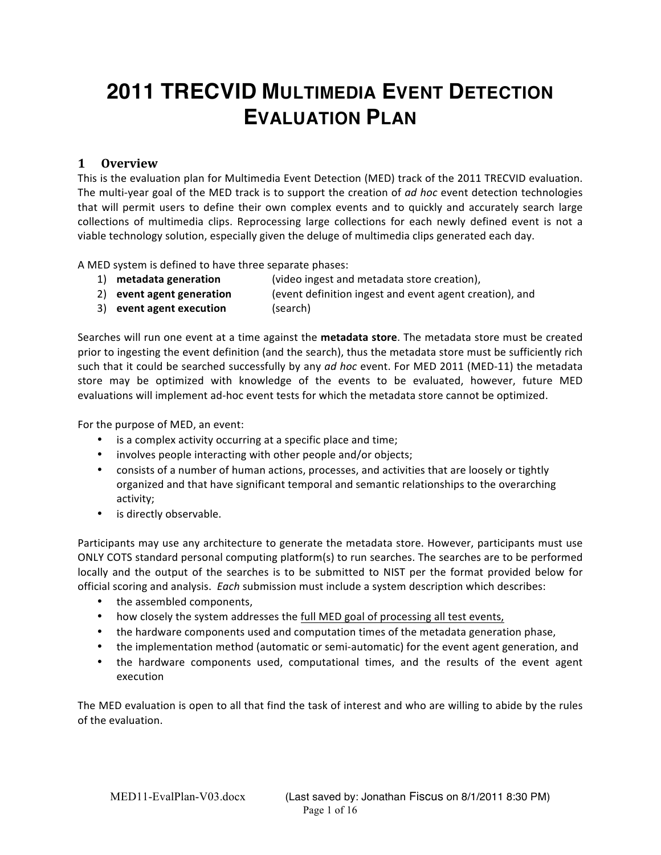# **2011 TRECVID MULTIMEDIA EVENT DETECTION EVALUATION PLAN**

# **1 Overview(**

This is the evaluation plan for Multimedia Event Detection (MED) track of the 2011 TRECVID evaluation. The multi-year goal of the MED track is to support the creation of *ad hoc* event detection technologies that will permit users to define their own complex events and to quickly and accurately search large collections of multimedia clips. Reprocessing large collections for each newly defined event is not a viable technology solution, especially given the deluge of multimedia clips generated each day.

A MED system is defined to have three separate phases:

- 1) **metadata generation** (video ingest and metadata store creation),
- 2) **event agent generation** (event definition ingest and event agent creation), and
- 3) **event agent execution** (search)

Searches will run one event at a time against the metadata store. The metadata store must be created prior to ingesting the event definition (and the search), thus the metadata store must be sufficiently rich such that it could be searched successfully by any *ad hoc* event. For MED 2011 (MED-11) the metadata store may be optimized with knowledge of the events to be evaluated, however, future MED evaluations will implement ad-hoc event tests for which the metadata store cannot be optimized.

For the purpose of MED, an event:

- $\bullet$  is a complex activity occurring at a specific place and time;
- involves people interacting with other people and/or objects;
- consists of a number of human actions, processes, and activities that are loosely or tightly organized and that have significant temporal and semantic relationships to the overarching activity;
- is directly observable.

Participants may use any architecture to generate the metadata store. However, participants must use ONLY COTS standard personal computing platform(s) to run searches. The searches are to be performed locally and the output of the searches is to be submitted to NIST per the format provided below for official scoring and analysis. Each submission must include a system description which describes:

- the assembled components,
- how closely the system addresses the full MED goal of processing all test events,
- the hardware components used and computation times of the metadata generation phase,
- the implementation method (automatic or semi-automatic) for the event agent generation, and
- the hardware components used, computational times, and the results of the event agent execution

The MED evaluation is open to all that find the task of interest and who are willing to abide by the rules of the evaluation.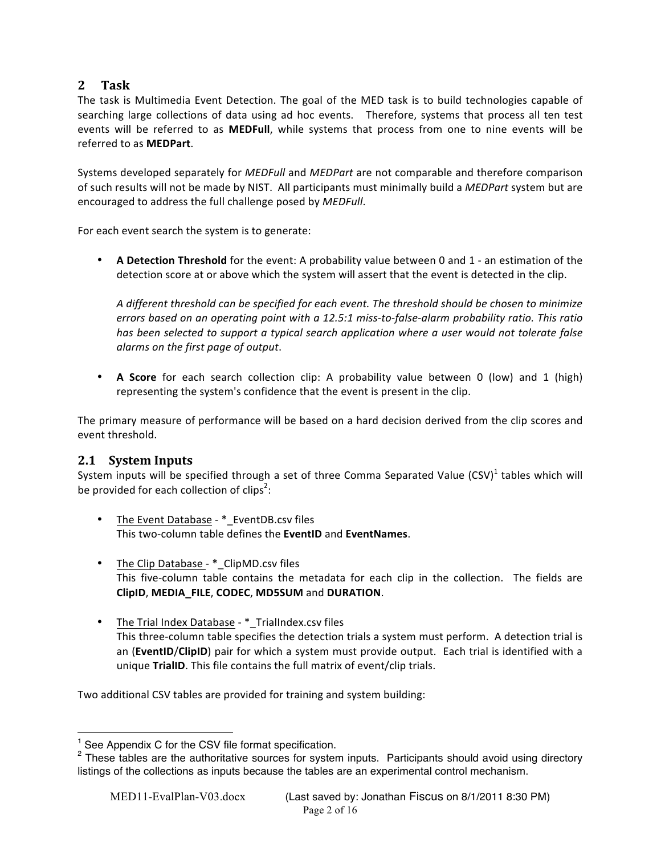# **2 Task**

The task is Multimedia Event Detection. The goal of the MED task is to build technologies capable of searching large collections of data using ad hoc events. Therefore, systems that process all ten test events will be referred to as **MEDFull**, while systems that process from one to nine events will be referred to as **MEDPart**.

Systems developed separately for *MEDFull* and *MEDPart* are not comparable and therefore comparison of such results will not be made by NIST. All participants must minimally build a *MEDPart* system but are encouraged to address the full challenge posed by *MEDFull*.

For each event search the system is to generate:

• A Detection Threshold for the event: A probability value between 0 and 1 - an estimation of the detection score at or above which the system will assert that the event is detected in the clip.

A different threshold can be specified for each event. The threshold should be chosen to minimize *errors based on an operating point with a 12.5:1 miss-to-false-alarm probability ratio. This ratio* has been selected to support a typical search application where a user would not tolerate false *alarms on the first page of output.* 

• **A Score** for each search collection clip: A probability value between 0 (low) and 1 (high) representing the system's confidence that the event is present in the clip.

The primary measure of performance will be based on a hard decision derived from the clip scores and event threshold.

# **2.1 System Inputs**

System inputs will be specified through a set of three Comma Separated Value (CSV)<sup>1</sup> tables which will be provided for each collection of clips<sup>2</sup>:

- The Event Database \* EventDB.csv files This%twoBcolumn%table%defines%the%**EventID** and%**EventNames**.
- The Clip Database  $*$ \_ClipMD.csv files This five-column table contains the metadata for each clip in the collection. The fields are **ClipID**,%**MEDIA\_FILE**,%**CODEC**,%**MD5SUM** and%**DURATION**.
- The Trial Index Database \* TrialIndex.csv files This three-column table specifies the detection trials a system must perform. A detection trial is an (**EventID/ClipID**) pair for which a system must provide output. Each trial is identified with a unique **TrialID**. This file contains the full matrix of event/clip trials.

Two additional CSV tables are provided for training and system building:

<sup>&</sup>lt;sup>1</sup> See Appendix C for the CSV file format specification.

<sup>&</sup>lt;sup>2</sup> These tables are the authoritative sources for system inputs. Participants should avoid using directory listings of the collections as inputs because the tables are an experimental control mechanism.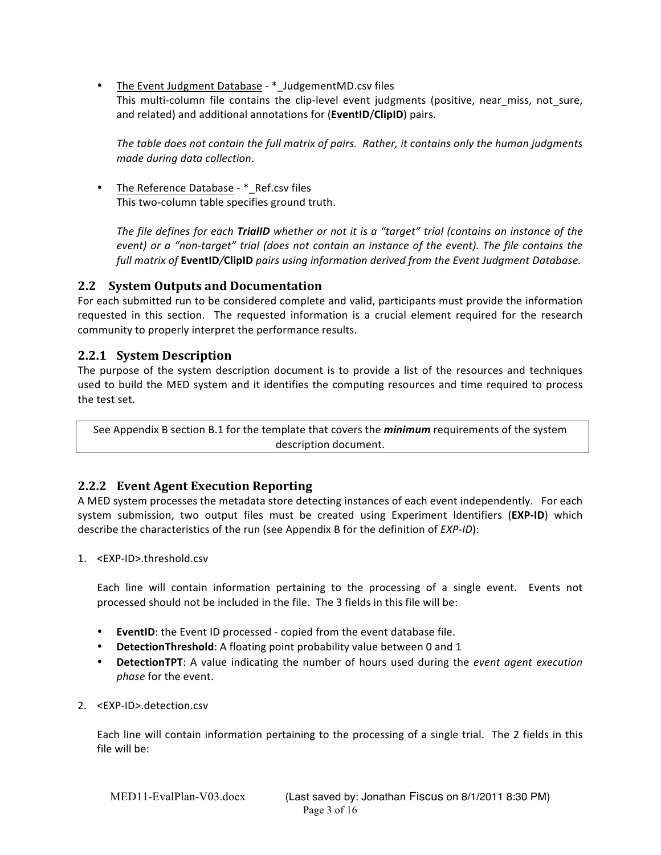• The Event Judgment Database - \*\_JudgementMD.csv files This multi-column file contains the clip-level event judgments (positive, near miss, not sure, and related) and additional annotations for (**EventID/ClipID**) pairs.

The table does not contain the full matrix of pairs. Rather, it contains only the human judgments *made during data collection.* 

The Reference Database - \* Ref.csv files This two-column table specifies ground truth.

*The file defines for each TrialID whether or not it is a "target" trial (contains an instance of the event) or a "non-target" trial (does not contain an instance of the event). The file contains the full matrix of EventID/ClipID pairs using information derived from the Event Judgment Database.* 

# **2.2 System Outputs and Documentation**

For each submitted run to be considered complete and valid, participants must provide the information requested in this section. The requested information is a crucial element required for the research community to properly interpret the performance results.

# **2.2.1 System Description**

The purpose of the system description document is to provide a list of the resources and techniques used to build the MED system and it identifies the computing resources and time required to process the test set.

See Appendix B section B.1 for the template that covers the *minimum* requirements of the system description document.

# **2.2.2 Event Agent Execution Reporting**

A MED system processes the metadata store detecting instances of each event independently. For each system submission, two output files must be created using Experiment Identifiers (EXP-ID) which describe the characteristics of the run (see Appendix B for the definition of *EXP-ID*):

1. <EXP-ID>.threshold.csv

Each line will contain information pertaining to the processing of a single event. Events not processed should not be included in the file. The 3 fields in this file will be:

- **EventID:** the Event ID processed copied from the event database file.
- DetectionThreshold: A floating point probability value between 0 and 1
- **DetectionTPT**: A value indicating the number of hours used during the *event agent execution phase* for the event.
- 2. <EXP-ID>.detection.csv

Each line will contain information pertaining to the processing of a single trial. The 2 fields in this file will be: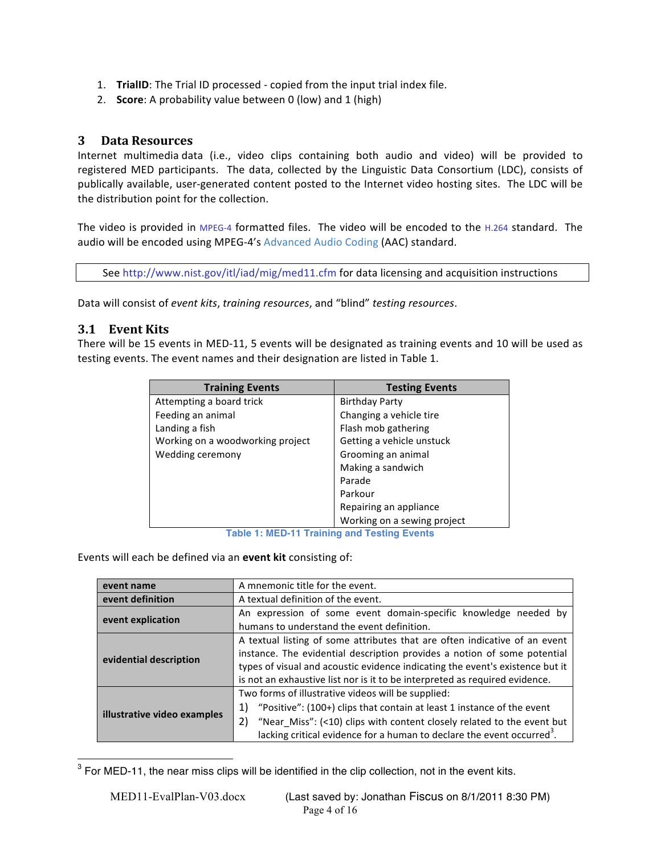- 1. **TrialID**: The Trial ID processed copied from the input trial index file.
- 2. **Score**: A probability value between 0 (low) and 1 (high)

# **3 Data Resources**

Internet multimedia data (i.e., video clips containing both audio and video) will be provided to registered MED participants. The data, collected by the Linguistic Data Consortium (LDC), consists of publically available, user-generated content posted to the Internet video hosting sites. The LDC will be the distribution point for the collection.

The video is provided in MPEG-4 formatted files. The video will be encoded to the H.264 standard. The audio will be encoded using MPEG-4's Advanced Audio Coding (AAC) standard.

See http://www.nist.gov/itl/iad/mig/med11.cfm for data licensing and acquisition instructions

Data will consist of *event kits*, *training resources*, and "blind" *testing resources*.

# **3.1 Event Kits**

There will be 15 events in MED-11, 5 events will be designated as training events and 10 will be used as testing events. The event names and their designation are listed in Table 1.

| <b>Training Events</b>           | <b>Testing Events</b>       |
|----------------------------------|-----------------------------|
| Attempting a board trick         | <b>Birthday Party</b>       |
| Feeding an animal                | Changing a vehicle tire     |
| Landing a fish                   | Flash mob gathering         |
| Working on a woodworking project | Getting a vehicle unstuck   |
| Wedding ceremony                 | Grooming an animal          |
|                                  | Making a sandwich           |
|                                  | Parade                      |
|                                  | Parkour                     |
|                                  | Repairing an appliance      |
|                                  | Working on a sewing project |

**Table 1: MED-11 Training and Testing Events**

Events will each be defined via an **event kit** consisting of:

| event name                  | A mnemonic title for the event.                                                    |  |
|-----------------------------|------------------------------------------------------------------------------------|--|
| event definition            | A textual definition of the event.                                                 |  |
| event explication           | An expression of some event domain-specific knowledge needed by                    |  |
|                             | humans to understand the event definition.                                         |  |
| evidential description      | A textual listing of some attributes that are often indicative of an event         |  |
|                             | instance. The evidential description provides a notion of some potential           |  |
|                             | types of visual and acoustic evidence indicating the event's existence but it      |  |
|                             | is not an exhaustive list nor is it to be interpreted as required evidence.        |  |
|                             | Two forms of illustrative videos will be supplied:                                 |  |
| illustrative video examples | "Positive": (100+) clips that contain at least 1 instance of the event<br>1)       |  |
|                             | "Near_Miss": (<10) clips with content closely related to the event but<br>2)       |  |
|                             | lacking critical evidence for a human to declare the event occurred <sup>3</sup> . |  |

 $3$  For MED-11, the near miss clips will be identified in the clip collection, not in the event kits.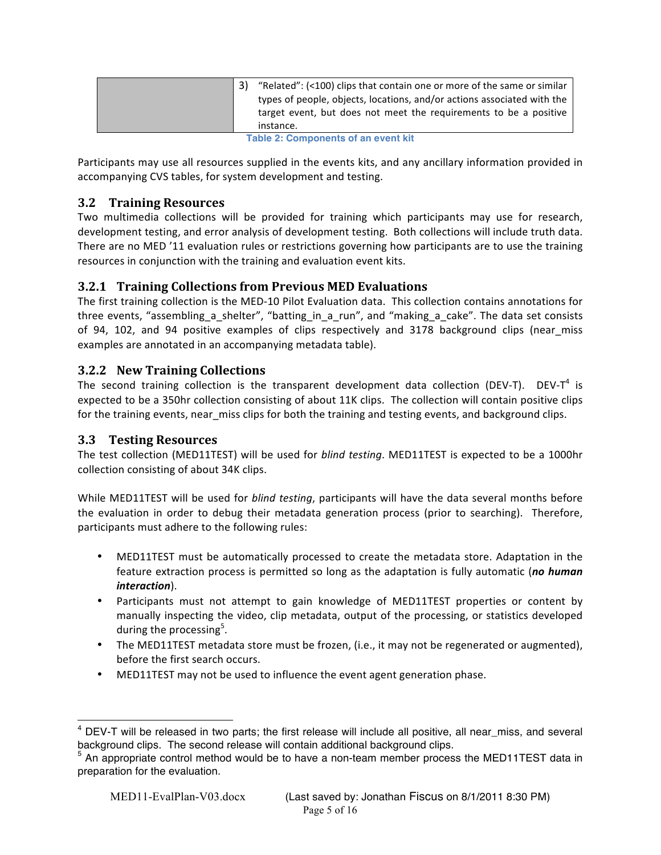|                                     |  | "Related": (<100) clips that contain one or more of the same or similar<br>types of people, objects, locations, and/or actions associated with the<br>target event, but does not meet the requirements to be a positive<br>instance. |
|-------------------------------------|--|--------------------------------------------------------------------------------------------------------------------------------------------------------------------------------------------------------------------------------------|
| Table 2: Componente of an event kit |  |                                                                                                                                                                                                                                      |

|  |  | <b>Table 2: Components of an event kit</b> |
|--|--|--------------------------------------------|
|--|--|--------------------------------------------|

Participants may use all resources supplied in the events kits, and any ancillary information provided in accompanying CVS tables, for system development and testing.

# **3.2 Training Resources**

Two multimedia collections will be provided for training which participants may use for research, development testing, and error analysis of development testing. Both collections will include truth data. There are no MED '11 evaluation rules or restrictions governing how participants are to use the training resources in conjunction with the training and evaluation event kits.

# **3.2.1 Training Collections from Previous MED Evaluations**

The first training collection is the MED-10 Pilot Evaluation data. This collection contains annotations for three events, "assembling a shelter", "batting in a run", and "making a cake". The data set consists of 94, 102, and 94 positive examples of clips respectively and 3178 background clips (near miss examples are annotated in an accompanying metadata table).

# **3.2.2 New Training Collections**

The second training collection is the transparent development data collection (DEV-T). DEV-T<sup>4</sup> is expected to be a 350hr collection consisting of about 11K clips. The collection will contain positive clips for the training events, near miss clips for both the training and testing events, and background clips.

# **3.3 Testing Resources**

The test collection (MED11TEST) will be used for *blind testing*. MED11TEST is expected to be a 1000hr collection consisting of about 34K clips.

While MED11TEST will be used for *blind testing*, participants will have the data several months before the evaluation in order to debug their metadata generation process (prior to searching). Therefore, participants must adhere to the following rules:

- MED11TEST must be automatically processed to create the metadata store. Adaptation in the feature extraction process is permitted so long as the adaptation is fully automatic (*no human*) *interaction*).
- Participants must not attempt to gain knowledge of MED11TEST properties or content by manually inspecting the video, clip metadata, output of the processing, or statistics developed during the processing<sup>5</sup>.
- The MED11TEST metadata store must be frozen, (i.e., it may not be regenerated or augmented), before the first search occurs.
- MED11TEST may not be used to influence the event agent generation phase.

 $4$  DEV-T will be released in two parts; the first release will include all positive, all near\_miss, and several background clips. The second release will contain additional background clips.

<sup>&</sup>lt;sup>5</sup> An appropriate control method would be to have a non-team member process the MED11TEST data in preparation for the evaluation.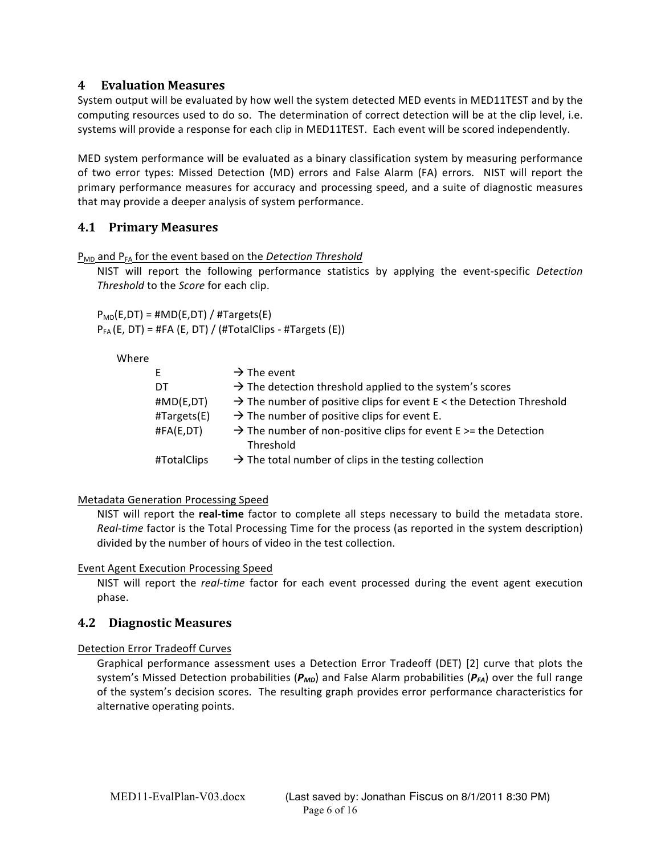# **4 Evaluation(Measures**

System output will be evaluated by how well the system detected MED events in MED11TEST and by the computing resources used to do so. The determination of correct detection will be at the clip level, i.e. systems will provide a response for each clip in MED11TEST. Each event will be scored independently.

MED system performance will be evaluated as a binary classification system by measuring performance of two error types: Missed Detection (MD) errors and False Alarm (FA) errors. NIST will report the primary performance measures for accuracy and processing speed, and a suite of diagnostic measures that may provide a deeper analysis of system performance.

# **4.1 Primary(Measures**

P<sub>MD</sub> and P<sub>FA</sub> for the event based on the Detection Threshold

NIST will report the following performance statistics by applying the event-specific *Detection Threshold* to the *Score* for each clip.

 $P_{MD}(E,DT) = #MD(E,DT) / #Targest(E)$  $P_{FA}$ (E, DT) = #FA (E, DT) / (#TotalClips - #Targets (E))

| Nhe |  |
|-----|--|
|-----|--|

| E.                | $\rightarrow$ The event                                                                     |
|-------------------|---------------------------------------------------------------------------------------------|
| DT                | $\rightarrow$ The detection threshold applied to the system's scores                        |
| $\sharp MD(E,DT)$ | $\rightarrow$ The number of positive clips for event E < the Detection Threshold            |
| #Targets(E)       | $\rightarrow$ The number of positive clips for event E.                                     |
| #FA(E,DT)         | $\rightarrow$ The number of non-positive clips for event E $>$ = the Detection<br>Threshold |
| #TotalClips       | $\rightarrow$ The total number of clips in the testing collection                           |
|                   |                                                                                             |

### Metadata Generation Processing Speed

NIST will report the **real-time** factor to complete all steps necessary to build the metadata store. *Real-time* factor is the Total Processing Time for the process (as reported in the system description) divided by the number of hours of video in the test collection.

### Event Agent Execution Processing Speed

NIST will report the *real-time* factor for each event processed during the event agent execution phase.

# **4.2 Diagnostic(Measures**

### Detection Error Tradeoff Curves

Graphical performance assessment uses a Detection Error Tradeoff (DET) [2] curve that plots the system's Missed Detection probabilities ( $P_{MD}$ ) and False Alarm probabilities ( $P_{FA}$ ) over the full range of the system's decision scores. The resulting graph provides error performance characteristics for alternative operating points.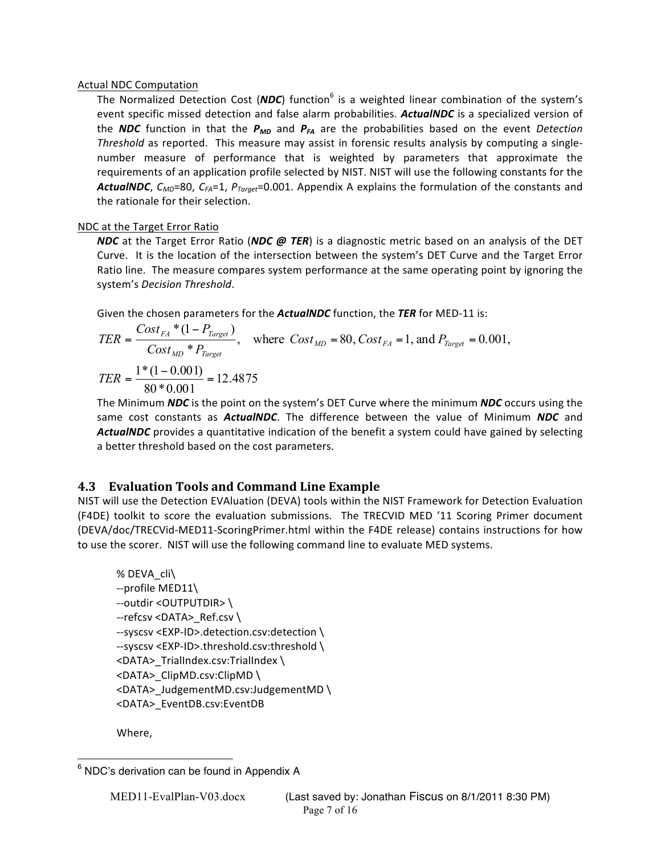### Actual NDC Computation

The Normalized Detection Cost (*NDC*) function<sup>6</sup> is a weighted linear combination of the system's event specific missed detection and false alarm probabilities. **ActualNDC** is a specialized version of the *NDC* function in that the  $P_{MD}$  and  $P_{FA}$  are the probabilities based on the event *Detection Threshold* as reported. This measure may assist in forensic results analysis by computing a singlenumber measure of performance that is weighted by parameters that approximate the requirements of an application profile selected by NIST. NIST will use the following constants for the *ActualNDC,*  $C_{MD}$ *=80,*  $C_{FA}$ *=1,*  $P_{Toroet}$ *=0.001. Appendix A explains the formulation of the constants and* the rationale for their selection.

# NDC at the Target Error Ratio

*NDC* at the Target Error Ratio (*NDC @ TER*) is a diagnostic metric based on an analysis of the DET Curve. It is the location of the intersection between the system's DET Curve and the Target Error Ratio line. The measure compares system performance at the same operating point by ignoring the system's *Decision* Threshold.

Given the chosen parameters for the **ActualNDC** function, the TER for MED-11 is:

$$
TER = \frac{Cost_{FA} * (1 - P_{Target})}{Cost_{MD} * P_{Target}}
$$
, where  $Cost_{MD} = 80$ ,  $Cost_{FA} = 1$ , and  $P_{Target} = 0.001$ ,  
\n
$$
TER = \frac{1 * (1 - 0.001)}{80 * 0.001} = 12.4875
$$

The Minimum *NDC* is the point on the system's DET Curve where the minimum *NDC* occurs using the same cost constants as *ActualNDC*. The difference between the value of Minimum *NDC* and ActualNDC provides a quantitative indication of the benefit a system could have gained by selecting a better threshold based on the cost parameters.

# **4.3 Evaluation Tools and Command Line Example**

NIST will use the Detection EVAluation (DEVA) tools within the NIST Framework for Detection Evaluation (F4DE) toolkit to score the evaluation submissions. The TRECVID MED '11 Scoring Primer document (DEVA/doc/TRECVid-MED11-ScoringPrimer.html within the F4DE release) contains instructions for how to use the scorer. NIST will use the following command line to evaluate MED systems.

```
%%DEVA_cli\
-profile MED11\--outdir <OUTPUTDIR> \
--refcsv <DATA>_Ref.csv \
--syscsv <EXP-ID>.detection.csv:detection \
--syscsv <EXP-ID>.threshold.csv:threshold \
<DATA> TrialIndex.csv:TrialIndex \
<DATA>_ClipMD.csv:ClipMD\
<DATA> JudgementMD.csv:JudgementMD \
<DATA>_EventDB.csv:EventDB
```
Where,

 $6$  NDC's derivation can be found in Appendix A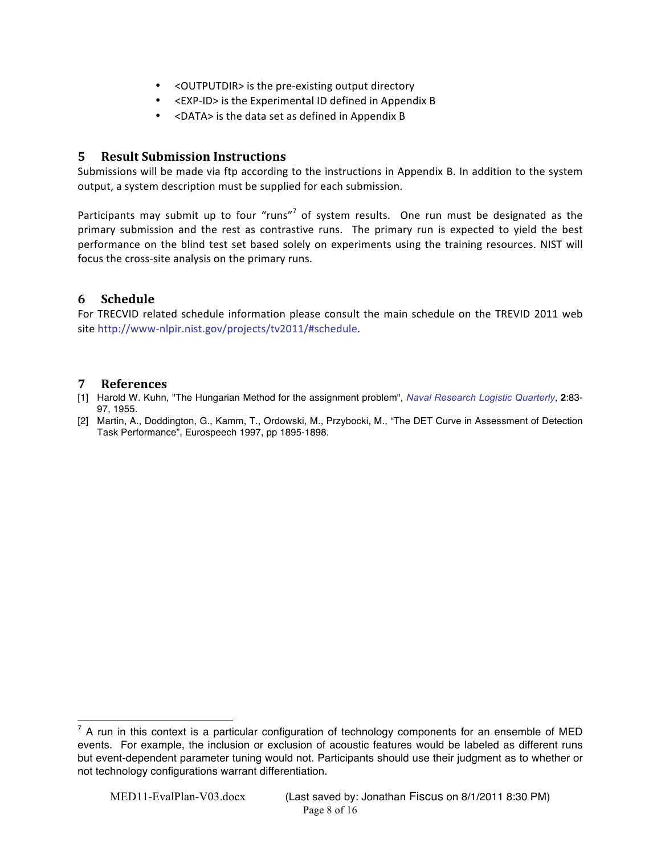- < OUTPUTDIR > is the pre-existing output directory
- $\bullet$  <EXP-ID> is the Experimental ID defined in Appendix B
- $\leq$ DATA $>$  is the data set as defined in Appendix B

# **5 Result Submission Instructions**

Submissions will be made via ftp according to the instructions in Appendix B. In addition to the system output, a system description must be supplied for each submission.

Participants may submit up to four "runs"<sup>7</sup> of system results. One run must be designated as the primary submission and the rest as contrastive runs. The primary run is expected to yield the best performance on the blind test set based solely on experiments using the training resources. NIST will focus the cross-site analysis on the primary runs.

# **6 Schedule**

For TRECVID related schedule information please consult the main schedule on the TREVID 2011 web site http://www-nlpir.nist.gov/projects/tv2011/#schedule.

## **7 References**

- [1] Harold W. Kuhn, "The Hungarian Method for the assignment problem", *Naval Research Logistic Quarterly*, **2**:83- 97, 1955.
- [2] Martin, A., Doddington, G., Kamm, T., Ordowski, M., Przybocki, M., "The DET Curve in Assessment of Detection Task Performance", Eurospeech 1997, pp 1895-1898.

 $<sup>7</sup>$  A run in this context is a particular configuration of technology components for an ensemble of MED</sup> events. For example, the inclusion or exclusion of acoustic features would be labeled as different runs but event-dependent parameter tuning would not. Participants should use their judgment as to whether or not technology configurations warrant differentiation.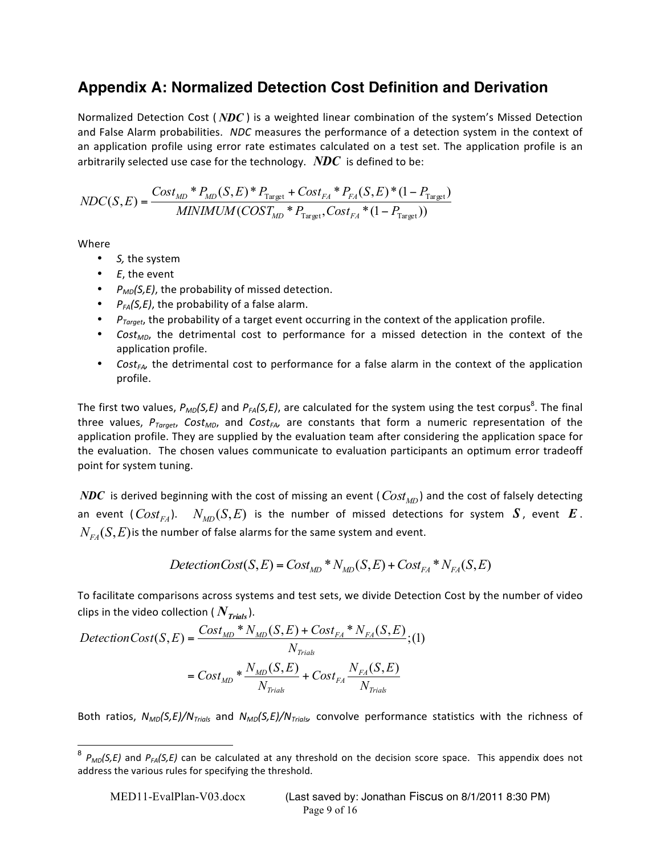# **Appendix A: Normalized Detection Cost Definition and Derivation**

Normalized Detection Cost (*NDC*) is a weighted linear combination of the system's Missed Detection and False Alarm probabilities. NDC measures the performance of a detection system in the context of an application profile using error rate estimates calculated on a test set. The application profile is an arbitrarily selected use case for the technology.  $\,N\!D\!C\,$  is defined to be:

$$
NDC(S, E) = \frac{Cost_{MD} * P_{MD}(S, E) * P_{Target} + Cost_{FA} * P_{FA}(S, E) * (1 - P_{Target})}{MINIMUM(COST_{MD} * P_{Target}, Cost_{FA} * (1 - P_{Target}))}
$$

Where

- S, the system
- $\bullet$  *E*, the event
- $P_{MD}(S,E)$ , the probability of missed detection.
- $P_{FA}(S,E)$ , the probability of a false alarm.
- *P<sub>Target</sub>*, the probability of a target event occurring in the context of the application profile.
- *Cost<sub>MD</sub>*, the detrimental cost to performance for a missed detection in the context of the application profile.
- *Cost<sub>FA</sub>*, the detrimental cost to performance for a false alarm in the context of the application profile.

The first two values,  $P_{MD}(S, E)$  and  $P_{FA}(S, E)$ , are calculated for the system using the test corpus<sup>8</sup>. The final three values,  $P_{Target}$  *Cost<sub>MD</sub>*, and *Cost<sub>FA</sub>* are constants that form a numeric representation of the application profile. They are supplied by the evaluation team after considering the application space for the evaluation. The chosen values communicate to evaluation participants an optimum error tradeoff point for system tuning.

 $NDC$  is derived beginning with the cost of missing an event (  $Cost_{\scriptsize MD}$  ) and the cost of falsely detecting an event  $(Cost_{FA})$ .  $N_{MD}(S, E)$  is the number of missed detections for system  $S$ , event  $E$ .  $N_{F_A}(S, E)$  *is* the number of false alarms for the same system and event.

$$
DelectionCost(S, E) = Cost_{MD} * N_{MD}(S, E) + Cost_{FA} * N_{FA}(S, E)
$$

To facilitate comparisons across systems and test sets, we divide Detection Cost by the number of video clips in the video collection ( $N_{\text{Trials}}$ ).

$$
DelectionCost(S, E) = \frac{Cost_{MD} * N_{MD}(S, E) + Cost_{FA} * N_{FA}(S, E)}{N_{Trials}}; (1)
$$

$$
= Cost_{MD} * \frac{N_{MD}(S, E)}{N_{Trials}} + Cost_{FA} \frac{N_{FA}(S, E)}{N_{Trials}}
$$

Both ratios,  $N_{MD}(S, E)/N_{Trials}$  and  $N_{MD}(S, E)/N_{Trials}$ , convolve performance statistics with the richness of

<sup>&</sup>lt;sup>8</sup> *P<sub>MD</sub>(S,E)* and *P<sub>FA</sub>(S,E)* can be calculated at any threshold on the decision score space. This appendix does not address the various rules for specifying the threshold.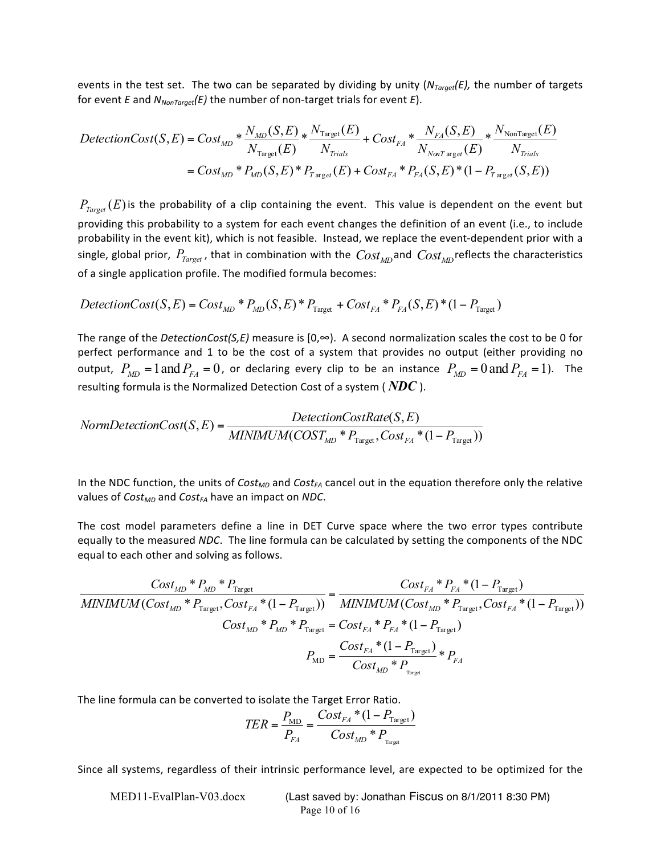events in the test set. The two can be separated by dividing by unity ( $N_{Tareet}(E)$ , the number of targets for event  $E$  and  $N_{NonTarget}(E)$  the number of non-target trials for event  $E$ ).

$$
DelectionCost(S, E) = Cost_{MD} * \frac{N_{MD}(S, E)}{N_{Target}(E)} * \frac{N_{Target}(E)}{N_{Trials}} + Cost_{FA} * \frac{N_{FA}(S, E)}{N_{NonTarget}(E)} * \frac{N_{NonTarget}(E)}{N_{Trials}}
$$
  
= Cost<sub>MD</sub> \* P<sub>MD</sub>(S, E) \* P<sub>Target</sub>(E) + Cost<sub>FA</sub> \* P<sub>FA</sub>(S, E) \* (1 - P<sub>Target</sub>(S, E))

 $P_{\text{Target}}(E)$  is the probability of a clip containing the event. This value is dependent on the event but providing this probability to a system for each event changes the definition of an event (i.e., to include probability in the event kit), which is not feasible. Instead, we replace the event-dependent prior with a single, global prior,  $P_{Target}$ , that in combination with the  $Cost_{MD}$  and  $Cost_{MD}$ reflects the characteristics of a single application profile. The modified formula becomes:

$$
DelectionCost(S, E) = Cost_{MD} * P_{MD}(S, E) * P_{Target} + Cost_{FA} * P_{FA}(S, E) * (1 - P_{Target})
$$

The range of the *DetectionCost(S,E)* measure is  $[0, \infty)$ . A second normalization scales the cost to be 0 for perfect performance and 1 to be the cost of a system that provides no output (either providing no output,  $P_{MD} = 1$  and  $P_{FA} = 0$ , or declaring every clip to be an instance  $P_{MD} = 0$  and  $P_{FA} = 1$ ). The resulting formula is the Normalized Detection Cost of a system ( $NDC$  ).

$$
Norm DetectionCost(S, E) = \frac{ DetectionCostRate(S, E)}{MINIMUM(COST_{MD} * P_{Target}, Cost_{FA} * (1 - P_{Target}))}
$$

In the NDC function, the units of *Cost<sub>MD</sub>* and *Cost<sub>FA</sub>* cancel out in the equation therefore only the relative values of *Cost<sub>MD</sub>* and *Cost<sub>FA</sub>* have an impact on *NDC*.

The cost model parameters define a line in DET Curve space where the two error types contribute equally to the measured *NDC*. The line formula can be calculated by setting the components of the NDC equal to each other and solving as follows.

$$
\frac{Cost_{MD} * P_{MD} * P_{Target}}{MINIMUM(Cost_{MD} * P_{Target}, Cost_{FA} * (1 - P_{Target}))} = \frac{Cost_{FA} * P_{FA} * (1 - P_{Target})}{MINIMUM(Cost_{MD} * P_{Target}, Cost_{FA} * (1 - P_{Target}))}
$$
\n
$$
Cost_{MD} * P_{MD} * P_{Target} = Cost_{FA} * P_{FA} * (1 - P_{Target})
$$
\n
$$
P_{MD} = \frac{Cost_{FA} * (1 - P_{Target})}{Cost_{MD} * P_{Target}} * P_{FA}
$$

The line formula can be converted to isolate the Target Error Ratio.

$$
TER = \frac{P_{MD}}{P_{FA}} = \frac{Cost_{FA} * (1 - P_{Target})}{Cost_{MD} * P_{Target}}
$$

Since all systems, regardless of their intrinsic performance level, are expected to be optimized for the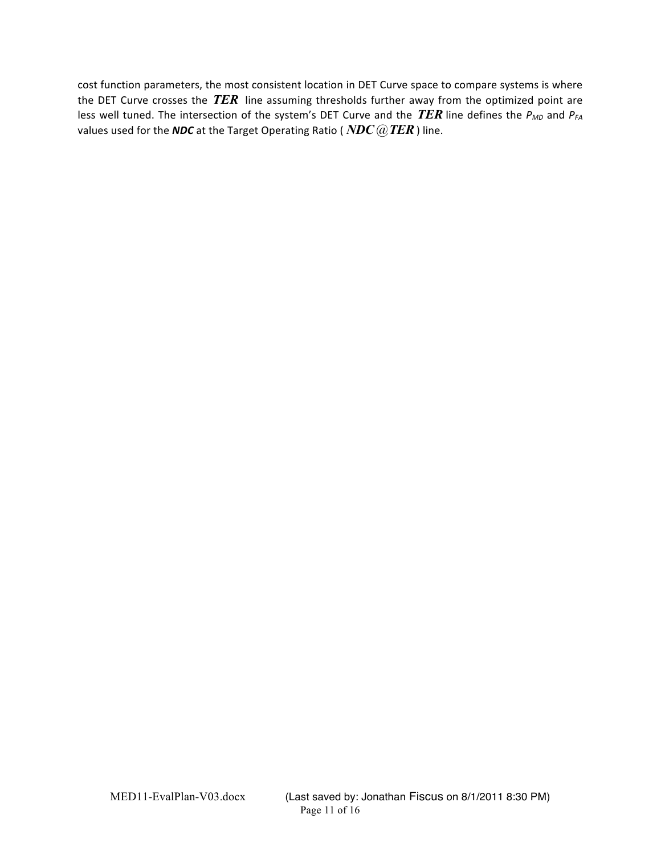cost function parameters, the most consistent location in DET Curve space to compare systems is where the DET Curve crosses the *TER* line assuming thresholds further away from the optimized point are less well tuned. The intersection of the system's DET Curve and the *TER* line defines the  $P_{MD}$  and  $P_{FA}$ values used for the *NDC* at the Target Operating Ratio (*NDC @ TER*) line.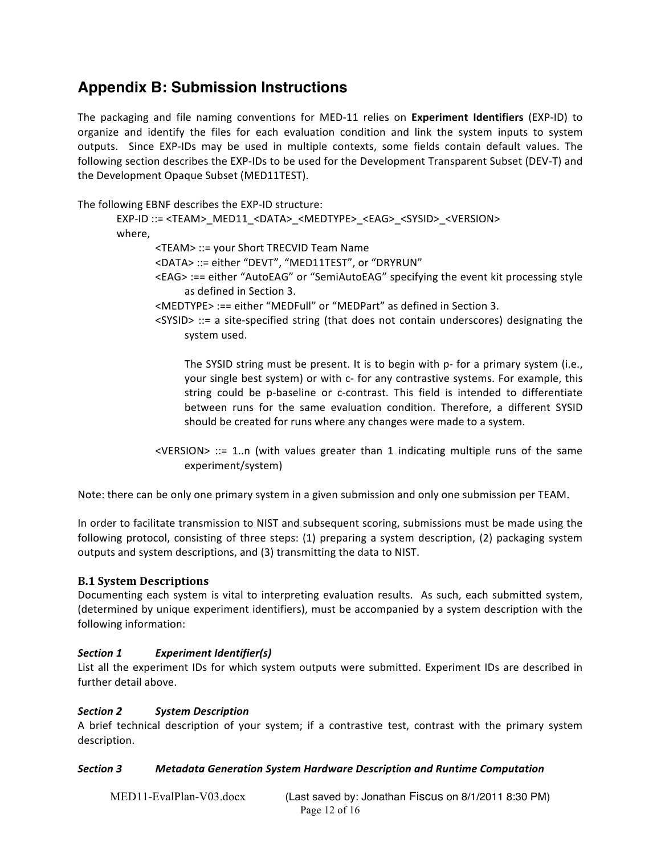# **Appendix B: Submission Instructions**

The packaging and file naming conventions for MED-11 relies on Experiment Identifiers (EXP-ID) to organize and identify the files for each evaluation condition and link the system inputs to system outputs. Since EXP-IDs may be used in multiple contexts, some fields contain default values. The following section describes the EXP-IDs to be used for the Development Transparent Subset (DEV-T) and the Development Opaque Subset (MED11TEST).

The following EBNF describes the EXP-ID structure:

EXP-ID ::= <TEAM>\_MED11\_<DATA>\_<MEDTYPE>\_<EAG>\_<SYSID>\_<VERSION> where, <TEAM> ::= your Short TRECVID Team Name <DATA> ::= either "DEVT", "MED11TEST", or "DRYRUN" <EAG> :== either "AutoEAG" or "SemiAutoEAG" specifying the event kit processing style as defined in Section 3. <MEDTYPE> :== either "MEDFull" or "MEDPart" as defined in Section 3. <SYSID> ::= a site-specified string (that does not contain underscores) designating the system used. The SYSID string must be present. It is to begin with p- for a primary system (i.e.,

your single best system) or with c- for any contrastive systems. For example, this string could be p-baseline or c-contrast. This field is intended to differentiate between runs for the same evaluation condition. Therefore, a different SYSID should be created for runs where any changes were made to a system.

<VERSION> ::= 1..n (with values greater than 1 indicating multiple runs of the same experiment/system)

Note: there can be only one primary system in a given submission and only one submission per TEAM.

In order to facilitate transmission to NIST and subsequent scoring, submissions must be made using the following protocol, consisting of three steps:  $(1)$  preparing a system description,  $(2)$  packaging system outputs and system descriptions, and (3) transmitting the data to NIST.

# **B.1 System Descriptions**

Documenting each system is vital to interpreting evaluation results. As such, each submitted system, (determined by unique experiment identifiers), must be accompanied by a system description with the following information:

# **Section 1 Experiment Identifier(s)**

List all the experiment IDs for which system outputs were submitted. Experiment IDs are described in further detail above.

# *Section,2 System,Description*

A brief technical description of your system; if a contrastive test, contrast with the primary system description.

# *Section,3 Metadata,Generation,System,Hardware,Description,and,Runtime,Computation*

| MED11-EvalPlan-V03.docx | (Last saved by: Jonathan Fiscus on 8/1/2011 8:30 PM) |
|-------------------------|------------------------------------------------------|
|                         | Page 12 of $16$                                      |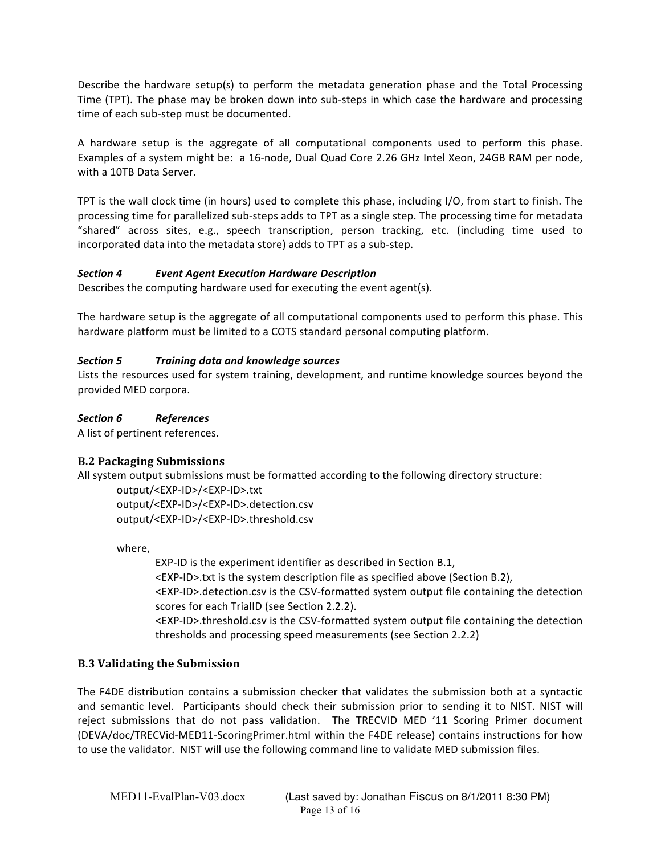Describe the hardware setup(s) to perform the metadata generation phase and the Total Processing Time (TPT). The phase may be broken down into sub-steps in which case the hardware and processing time of each sub-step must be documented.

A hardware setup is the aggregate of all computational components used to perform this phase. Examples of a system might be: a 16-node, Dual Quad Core 2.26 GHz Intel Xeon, 24GB RAM per node, with a 10TB Data Server.

TPT is the wall clock time (in hours) used to complete this phase, including I/O, from start to finish. The processing time for parallelized sub-steps adds to TPT as a single step. The processing time for metadata "shared" across sites, e.g., speech transcription, person tracking, etc. (including time used to incorporated data into the metadata store) adds to TPT as a sub-step.

# **Section 4 Event Agent Execution Hardware Description**

Describes the computing hardware used for executing the event agent(s).

The hardware setup is the aggregate of all computational components used to perform this phase. This hardware platform must be limited to a COTS standard personal computing platform.

# *Section,5 Training data,and,knowledge,sources*

Lists the resources used for system training, development, and runtime knowledge sources beyond the provided MED corpora.

# *Section,6 References*

A list of pertinent references.

# **B.2 Packaging Submissions**

All system output submissions must be formatted according to the following directory structure:

output/<EXP-ID>/<EXP-ID>.txt output/<EXP-ID>/<EXP-ID>.detection.csv output/<EXP-ID>/<EXP-ID>.threshold.csv

where,

EXP-ID is the experiment identifier as described in Section B.1, <EXP-ID>.txt is the system description file as specified above (Section B.2), <EXP-ID>.detection.csv is the CSV-formatted system output file containing the detection scores for each TrialID (see Section 2.2.2).  $\epsilon$ EXP-ID>.threshold.csv is the CSV-formatted system output file containing the detection

thresholds and processing speed measurements (see Section 2.2.2)

# **B.3 Validating the Submission**

The F4DE distribution contains a submission checker that validates the submission both at a syntactic and semantic level. Participants should check their submission prior to sending it to NIST. NIST will reject submissions that do not pass validation. The TRECVID MED '11 Scoring Primer document (DEVA/doc/TRECVid-MED11-ScoringPrimer.html within the F4DE release) contains instructions for how to use the validator. NIST will use the following command line to validate MED submission files.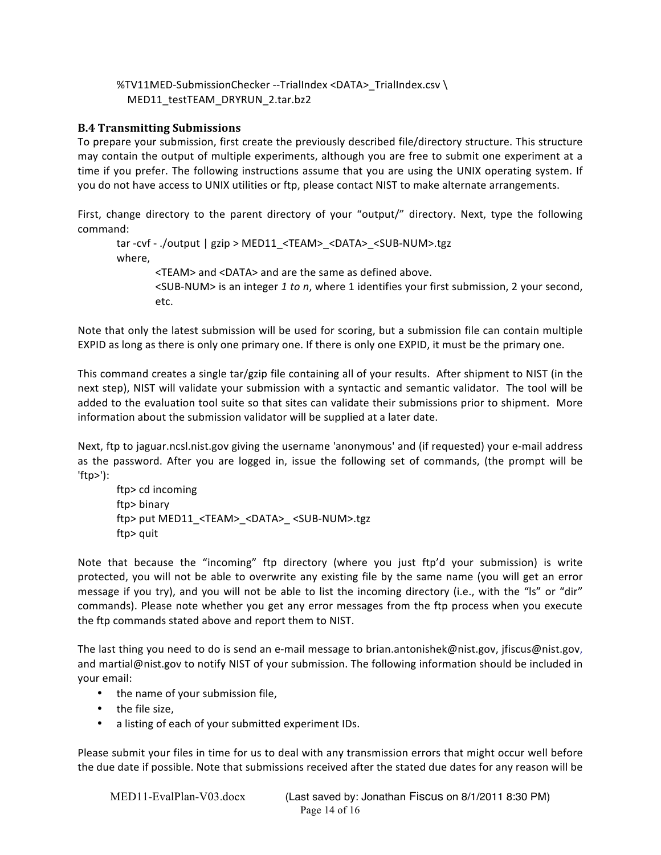# %TV11MED-SubmissionChecker --TrialIndex <DATA> TrialIndex.csv \ %%%%MED11\_testTEAM\_DRYRUN\_2.tar.bz2

# **B.4 Transmitting Submissions**

To prepare your submission, first create the previously described file/directory structure. This structure may contain the output of multiple experiments, although you are free to submit one experiment at a time if you prefer. The following instructions assume that you are using the UNIX operating system. If you do not have access to UNIX utilities or ftp, please contact NIST to make alternate arrangements.

First, change directory to the parent directory of your "output/" directory. Next, type the following  $command:$ 

tar -cvf - ./output | gzip > MED11 <TEAM> <DATA> <SUB-NUM>.tgz where. <TEAM> and <DATA> and are the same as defined above. <SUB-NUM> is an integer 1 to n, where 1 identifies your first submission, 2 your second, etc.

Note that only the latest submission will be used for scoring, but a submission file can contain multiple EXPID as long as there is only one primary one. If there is only one EXPID, it must be the primary one.

This command creates a single tar/gzip file containing all of your results. After shipment to NIST (in the next step), NIST will validate your submission with a syntactic and semantic validator. The tool will be added to the evaluation tool suite so that sites can validate their submissions prior to shipment. More information about the submission validator will be supplied at a later date.

Next, ftp to jaguar.ncsl.nist.gov giving the username 'anonymous' and (if requested) your e-mail address as the password. After you are logged in, issue the following set of commands, (the prompt will be 'ftp>'):%

ftp> cd incoming ftp> binary ftp> put MED11\_<TEAM>\_<DATA>\_<SUB-NUM>.tgz ftp> quit

Note that because the "incoming" ftp directory (where you just ftp'd your submission) is write protected, you will not be able to overwrite any existing file by the same name (you will get an error message if you try), and you will not be able to list the incoming directory (i.e., with the "ls" or "dir" commands). Please note whether you get any error messages from the ftp process when you execute the ftp commands stated above and report them to NIST.

The last thing you need to do is send an e-mail message to brian.antonishek@nist.gov, jfiscus@nist.gov, and martial@nist.gov to notify NIST of your submission. The following information should be included in your email:

- the name of your submission file,
- $\bullet$  the file size.
- a listing of each of your submitted experiment IDs.

Please submit your files in time for us to deal with any transmission errors that might occur well before the due date if possible. Note that submissions received after the stated due dates for any reason will be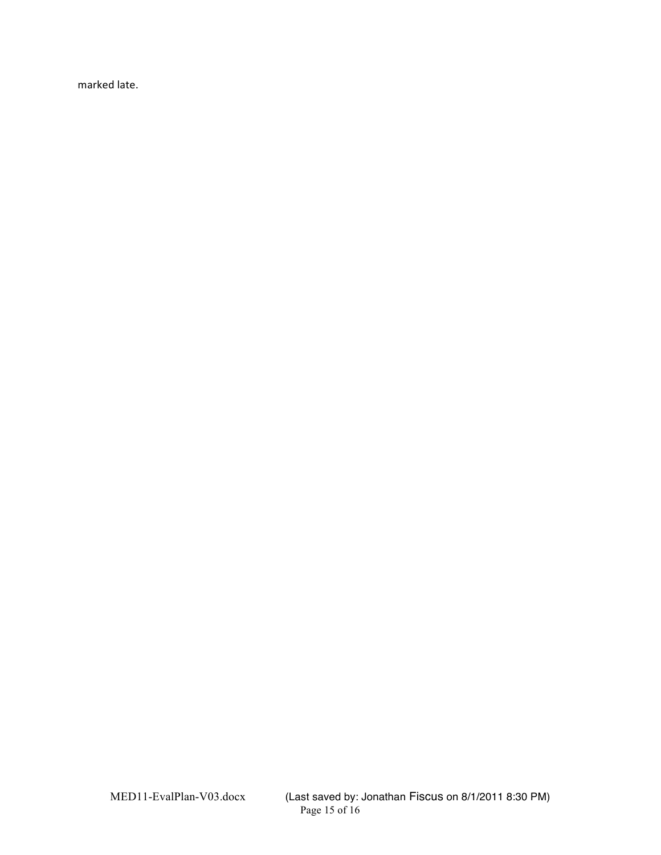marked late.